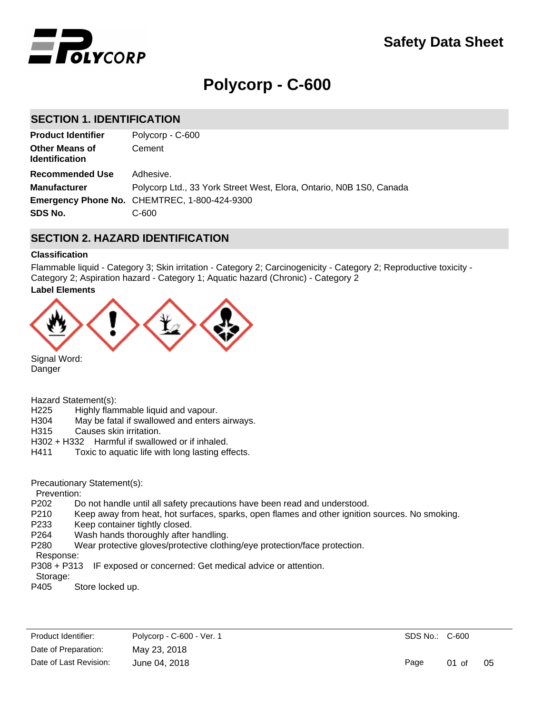

# **Polycorp - C-600**

# **SECTION 1. IDENTIFICATION**

| <b>Product Identifier</b>                      | Polycorp - C-600                                                    |
|------------------------------------------------|---------------------------------------------------------------------|
| <b>Other Means of</b><br><b>Identification</b> | Cement                                                              |
| <b>Recommended Use</b>                         | Adhesive.                                                           |
| <b>Manufacturer</b>                            | Polycorp Ltd., 33 York Street West, Elora, Ontario, N0B 1S0, Canada |
|                                                | <b>Emergency Phone No. CHEMTREC, 1-800-424-9300</b>                 |
| SDS No.                                        | C-600                                                               |
|                                                |                                                                     |

# **SECTION 2. HAZARD IDENTIFICATION**

#### **Classification**

Flammable liquid - Category 3; Skin irritation - Category 2; Carcinogenicity - Category 2; Reproductive toxicity - Category 2; Aspiration hazard - Category 1; Aquatic hazard (Chronic) - Category 2

#### **Label Elements**



Danger

Hazard Statement(s):

- H225 Highly flammable liquid and vapour.
- H304 May be fatal if swallowed and enters airways.
- H315 Causes skin irritation.
- H302 + H332 Harmful if swallowed or if inhaled.
- H411 Toxic to aquatic life with long lasting effects.

Precautionary Statement(s):

Prevention:

- P202 Do not handle until all safety precautions have been read and understood.
- P210 Keep away from heat, hot surfaces, sparks, open flames and other ignition sources. No smoking.
- P233 Keep container tightly closed.
- P264 Wash hands thoroughly after handling.
- P280 Wear protective gloves/protective clothing/eye protection/face protection.
- Response:

P308 + P313 IF exposed or concerned: Get medical advice or attention.

- Storage:
- P405 Store locked up.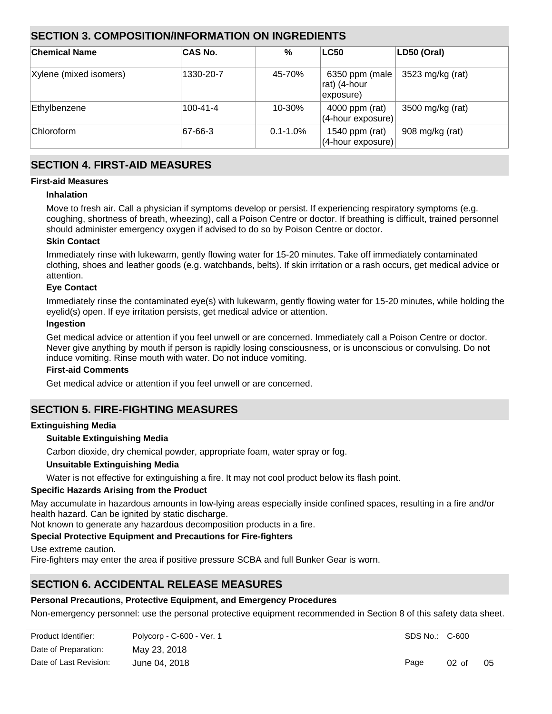# **SECTION 3. COMPOSITION/INFORMATION ON INGREDIENTS**

| ∣Chemical Name         | <b>CAS No.</b> | %             | <b>LC50</b>                                 | LD50 (Oral)      |
|------------------------|----------------|---------------|---------------------------------------------|------------------|
| Xylene (mixed isomers) | 1330-20-7      | 45-70%        | 6350 ppm (male<br>rat) (4-hour<br>exposure) | 3523 mg/kg (rat) |
| Ethylbenzene           | $100 - 41 - 4$ | 10-30%        | 4000 ppm (rat)<br>(4-hour exposure)         | 3500 mg/kg (rat) |
| <b>Chloroform</b>      | $ 67-66-3 $    | $0.1 - 1.0\%$ | 1540 ppm (rat)<br>(4-hour exposure)         | 908 mg/kg (rat)  |

# **SECTION 4. FIRST-AID MEASURES**

# **First-aid Measures**

# **Inhalation**

Move to fresh air. Call a physician if symptoms develop or persist. If experiencing respiratory symptoms (e.g. coughing, shortness of breath, wheezing), call a Poison Centre or doctor. If breathing is difficult, trained personnel should administer emergency oxygen if advised to do so by Poison Centre or doctor.

# **Skin Contact**

Immediately rinse with lukewarm, gently flowing water for 15-20 minutes. Take off immediately contaminated clothing, shoes and leather goods (e.g. watchbands, belts). If skin irritation or a rash occurs, get medical advice or attention.

# **Eye Contact**

Immediately rinse the contaminated eye(s) with lukewarm, gently flowing water for 15-20 minutes, while holding the eyelid(s) open. If eye irritation persists, get medical advice or attention.

#### **Ingestion**

Get medical advice or attention if you feel unwell or are concerned. Immediately call a Poison Centre or doctor. Never give anything by mouth if person is rapidly losing consciousness, or is unconscious or convulsing. Do not induce vomiting. Rinse mouth with water. Do not induce vomiting.

# **First-aid Comments**

Get medical advice or attention if you feel unwell or are concerned.

# **SECTION 5. FIRE-FIGHTING MEASURES**

# **Extinguishing Media**

# **Suitable Extinguishing Media**

Carbon dioxide, dry chemical powder, appropriate foam, water spray or fog.

#### **Unsuitable Extinguishing Media**

Water is not effective for extinguishing a fire. It may not cool product below its flash point.

# **Specific Hazards Arising from the Product**

May accumulate in hazardous amounts in low-lying areas especially inside confined spaces, resulting in a fire and/or health hazard. Can be ignited by static discharge.

Not known to generate any hazardous decomposition products in a fire.

# **Special Protective Equipment and Precautions for Fire-fighters**

Use extreme caution.

Fire-fighters may enter the area if positive pressure SCBA and full Bunker Gear is worn.

# **SECTION 6. ACCIDENTAL RELEASE MEASURES**

# **Personal Precautions, Protective Equipment, and Emergency Procedures**

Non-emergency personnel: use the personal protective equipment recommended in Section 8 of this safety data sheet. Evacuate the area immediately. Isolate the hazard area. Keep out unnecessary and unprotected personnel. Eliminate

| Product Identifier:    | Polycorp - C-600 - Ver. 1 |
|------------------------|---------------------------|
| Date of Preparation:   | May 23, 2018              |
| Date of Last Revision: | June 04, 2018             |

Page 02 of 05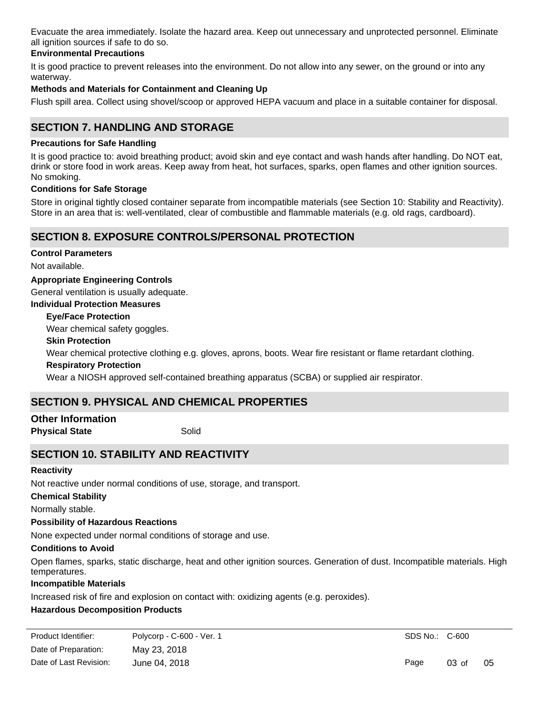Evacuate the area immediately. Isolate the hazard area. Keep out unnecessary and unprotected personnel. Eliminate all ignition sources if safe to do so.

# **Environmental Precautions**

It is good practice to prevent releases into the environment. Do not allow into any sewer, on the ground or into any waterway.

# **Methods and Materials for Containment and Cleaning Up**

Flush spill area. Collect using shovel/scoop or approved HEPA vacuum and place in a suitable container for disposal.

# **SECTION 7. HANDLING AND STORAGE**

#### **Precautions for Safe Handling**

It is good practice to: avoid breathing product; avoid skin and eye contact and wash hands after handling. Do NOT eat, drink or store food in work areas. Keep away from heat, hot surfaces, sparks, open flames and other ignition sources. No smoking.

# **Conditions for Safe Storage**

Store in original tightly closed container separate from incompatible materials (see Section 10: Stability and Reactivity). Store in an area that is: well-ventilated, clear of combustible and flammable materials (e.g. old rags, cardboard).

# **SECTION 8. EXPOSURE CONTROLS/PERSONAL PROTECTION**

#### **Control Parameters**

Not available.

#### **Appropriate Engineering Controls**

General ventilation is usually adequate.

#### **Individual Protection Measures**

#### **Eye/Face Protection**

Wear chemical safety goggles.

#### **Skin Protection**

Wear chemical protective clothing e.g. gloves, aprons, boots. Wear fire resistant or flame retardant clothing.

#### **Respiratory Protection**

Wear a NIOSH approved self-contained breathing apparatus (SCBA) or supplied air respirator.

# **SECTION 9. PHYSICAL AND CHEMICAL PROPERTIES**

# **Other Information**

**Physical State** Solid

# **SECTION 10. STABILITY AND REACTIVITY**

#### **Reactivity**

Not reactive under normal conditions of use, storage, and transport.

#### **Chemical Stability**

Normally stable.

# **Possibility of Hazardous Reactions**

None expected under normal conditions of storage and use.

# **Conditions to Avoid**

Open flames, sparks, static discharge, heat and other ignition sources. Generation of dust. Incompatible materials. High temperatures.

#### **Incompatible Materials**

Increased risk of fire and explosion on contact with: oxidizing agents (e.g. peroxides).

# **Hazardous Decomposition Products**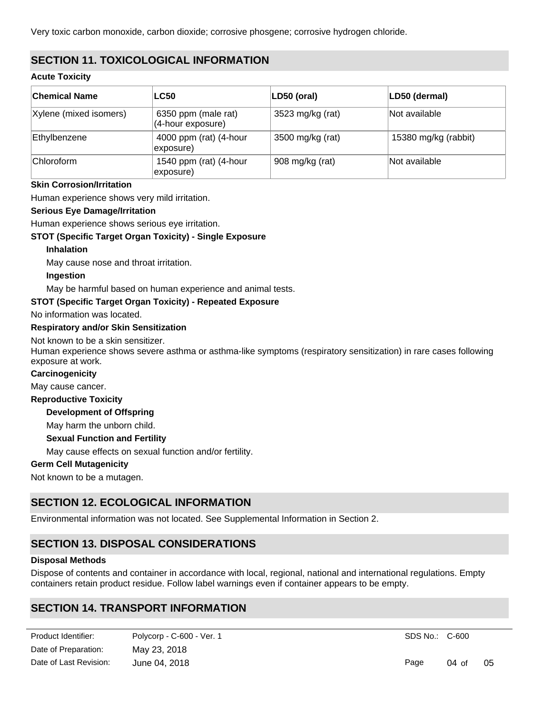Very toxic carbon monoxide, carbon dioxide; corrosive phosgene; corrosive hydrogen chloride.

# **SECTION 11. TOXICOLOGICAL INFORMATION**

# **Acute Toxicity**

| ∣Chemical Name         | <b>LC50</b>                              | LD50 (oral)      | LD50 (dermal)        |
|------------------------|------------------------------------------|------------------|----------------------|
| Xylene (mixed isomers) | 6350 ppm (male rat)<br>(4-hour exposure) | 3523 mg/kg (rat) | Not available        |
| Ethylbenzene           | 4000 ppm (rat) (4-hour<br>exposure)      | 3500 mg/kg (rat) | 15380 mg/kg (rabbit) |
| <b>Chloroform</b>      | 1540 ppm (rat) (4-hour<br>exposure)      | 908 mg/kg (rat)  | Not available        |

# **Skin Corrosion/Irritation**

Human experience shows very mild irritation.

# **Serious Eye Damage/Irritation**

Human experience shows serious eye irritation.

# **STOT (Specific Target Organ Toxicity) - Single Exposure**

#### **Inhalation**

May cause nose and throat irritation.

#### **Ingestion**

May be harmful based on human experience and animal tests.

# **STOT (Specific Target Organ Toxicity) - Repeated Exposure**

No information was located.

#### **Respiratory and/or Skin Sensitization**

Not known to be a skin sensitizer.

Human experience shows severe asthma or asthma-like symptoms (respiratory sensitization) in rare cases following exposure at work.

#### **Carcinogenicity**

May cause cancer.

**Reproductive Toxicity**

# **Development of Offspring**

May harm the unborn child.

#### **Sexual Function and Fertility**

May cause effects on sexual function and/or fertility.

# **Germ Cell Mutagenicity**

Not known to be a mutagen.

# **SECTION 12. ECOLOGICAL INFORMATION**

Environmental information was not located. See Supplemental Information in Section 2.

# **SECTION 13. DISPOSAL CONSIDERATIONS**

#### **Disposal Methods**

Dispose of contents and container in accordance with local, regional, national and international regulations. Empty containers retain product residue. Follow label warnings even if container appears to be empty.

# **SECTION 14. TRANSPORT INFORMATION**

| Product Identifier:    | Polycorp - C-600 - Ver. 1 |
|------------------------|---------------------------|
| Date of Preparation:   | May 23, 2018              |
| Date of Last Revision: | June 04, 2018             |

Not regulated under IATA Regulations.

SDS No.: C-600

Page 04 of 05